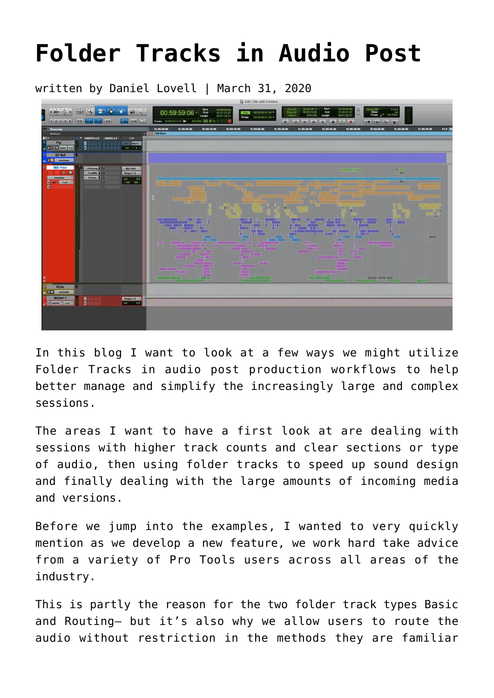# **[Folder Tracks in Audio Post](https://www.avidblogs.com/folder-tracks-audio-post/)**

written by Daniel Lovell | March 31, 2020



In this blog I want to look at a few ways we might utilize Folder Tracks in audio post production workflows to help better manage and simplify the increasingly large and complex sessions.

The areas I want to have a first look at are dealing with sessions with higher track counts and clear sections or type of audio, then using folder tracks to speed up sound design and finally dealing with the large amounts of incoming media and versions.

Before we jump into the examples, I wanted to very quickly mention as we develop a new feature, we work hard take advice from a variety of Pro Tools users across all areas of the industry.

This is partly the reason for the two folder track types Basic and Routing– but it's also why we allow users to route the audio without restriction in the methods they are familiar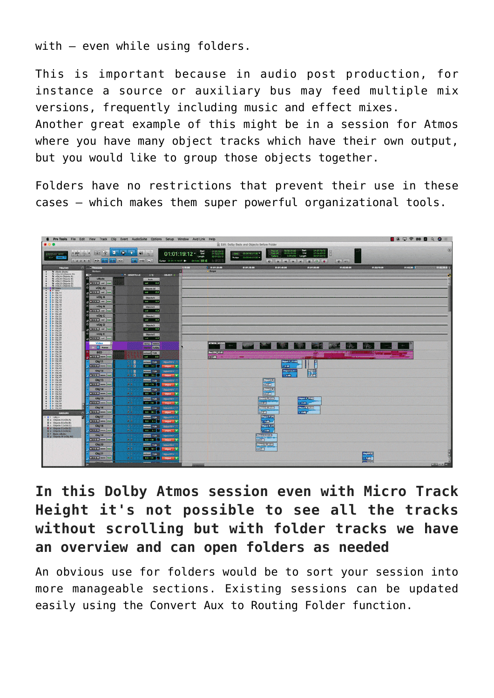with – even while using folders.

This is important because in audio post production, for instance a source or auxiliary bus may feed multiple mix versions, frequently including music and effect mixes. Another great example of this might be in a session for Atmos

where you have many object tracks which have their own output, but you would like to group those objects together.

Folders have no restrictions that prevent their use in these cases – which makes them super powerful organizational tools.



#### **In this Dolby Atmos session even with Micro Track Height it's not possible to see all the tracks without scrolling but with folder tracks we have an overview and can open folders as needed**

An obvious use for folders would be to sort your session into more manageable sections. Existing sessions can be updated easily using the Convert Aux to Routing Folder function.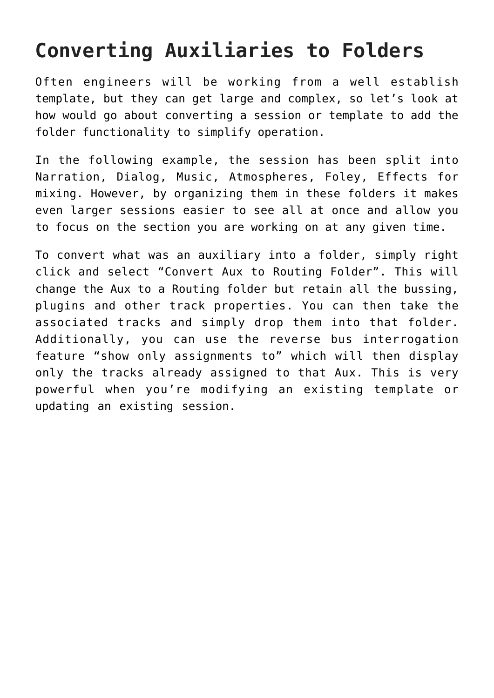## **Converting Auxiliaries to Folders**

Often engineers will be working from a well establish template, but they can get large and complex, so let's look at how would go about converting a session or template to add the folder functionality to simplify operation.

In the following example, the session has been split into Narration, Dialog, Music, Atmospheres, Foley, Effects for mixing. However, by organizing them in these folders it makes even larger sessions easier to see all at once and allow you to focus on the section you are working on at any given time.

To convert what was an auxiliary into a folder, simply right click and select "Convert Aux to Routing Folder". This will change the Aux to a Routing folder but retain all the bussing, plugins and other track properties. You can then take the associated tracks and simply drop them into that folder. Additionally, you can use the reverse bus interrogation feature "show only assignments to" which will then display only the tracks already assigned to that Aux. This is very powerful when you're modifying an existing template or updating an existing session.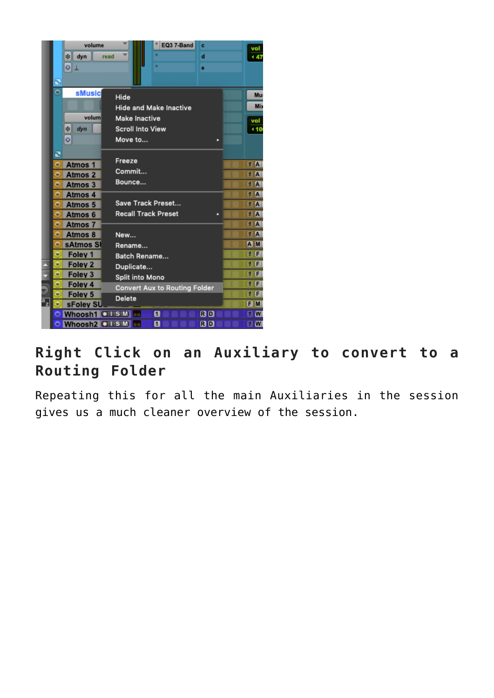

#### **Right Click on an Auxiliary to convert to a Routing Folder**

Repeating this for all the main Auxiliaries in the session gives us a much cleaner overview of the session.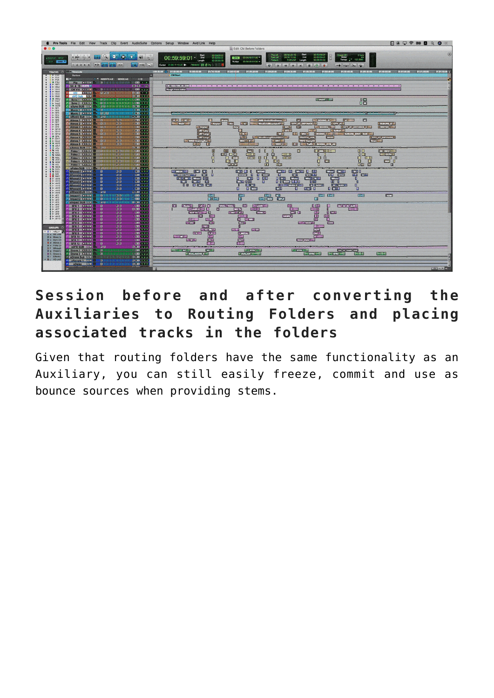

#### **Session before and after converting the Auxiliaries to Routing Folders and placing associated tracks in the folders**

Given that routing folders have the same functionality as an Auxiliary, you can still easily freeze, commit and use as bounce sources when providing stems.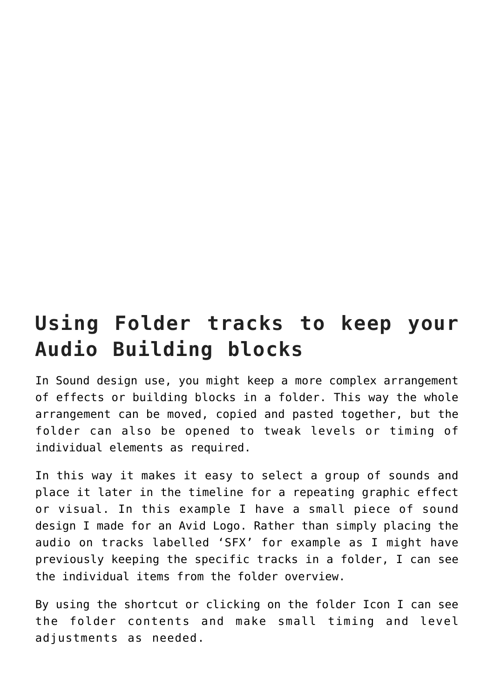## **Using Folder tracks to keep your Audio Building blocks**

In Sound design use, you might keep a more complex arrangement of effects or building blocks in a folder. This way the whole arrangement can be moved, copied and pasted together, but the folder can also be opened to tweak levels or timing of individual elements as required.

In this way it makes it easy to select a group of sounds and place it later in the timeline for a repeating graphic effect or visual. In this example I have a small piece of sound design I made for an Avid Logo. Rather than simply placing the audio on tracks labelled 'SFX' for example as I might have previously keeping the specific tracks in a folder, I can see the individual items from the folder overview.

By using the shortcut or clicking on the folder Icon I can see the folder contents and make small timing and level adjustments as needed.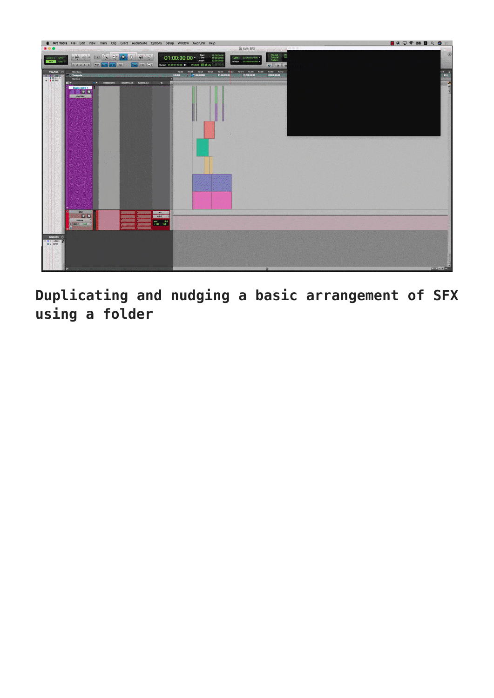

**Duplicating and nudging a basic arrangement of SFX using a folder**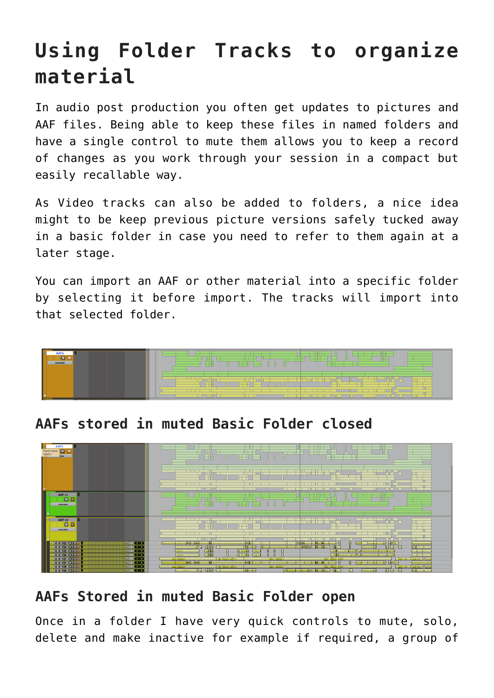## **Using Folder Tracks to organize material**

In audio post production you often get updates to pictures and AAF files. Being able to keep these files in named folders and have a single control to mute them allows you to keep a record of changes as you work through your session in a compact but easily recallable way.

As Video tracks can also be added to folders, a nice idea might to be keep previous picture versions safely tucked away in a basic folder in case you need to refer to them again at a later stage.

You can import an AAF or other material into a specific folder by selecting it before import. The tracks will import into that selected folder.



**AAFs stored in muted Basic Folder closed**



#### **AAFs Stored in muted Basic Folder open**

Once in a folder I have very quick controls to mute, solo, delete and make inactive for example if required, a group of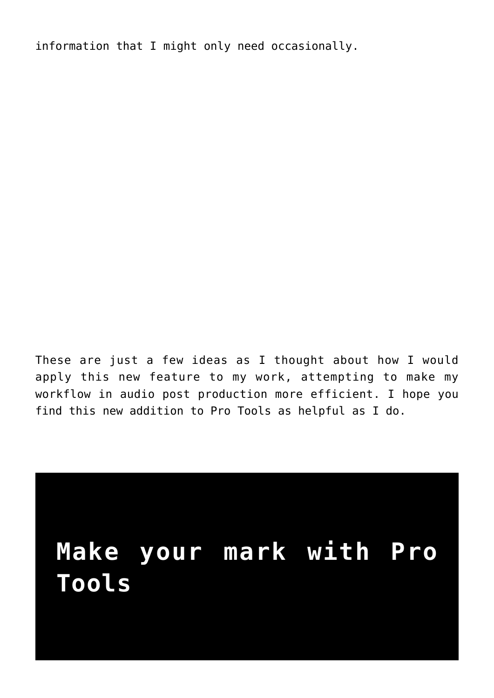information that I might only need occasionally.

These are just a few ideas as I thought about how I would apply this new feature to my work, attempting to make my workflow in audio post production more efficient. I hope you find this new addition to Pro Tools as helpful as I do.

# **Make your mark with Pro Tools**